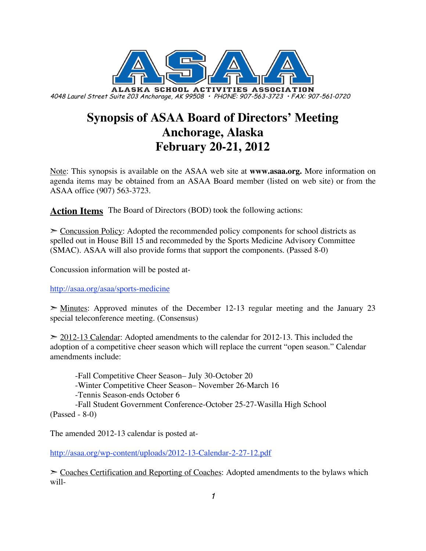

# **Synopsis of ASAA Board of Directors' Meeting Anchorage, Alaska February 20-21, 2012**

Note: This synopsis is available on the ASAA web site at **www.asaa.org.** More information on agenda items may be obtained from an ASAA Board member (listed on web site) or from the ASAA office (907) 563-3723.

**Action Items** The Board of Directors (BOD) took the following actions:

 $\geq$  Concussion Policy: Adopted the recommended policy components for school districts as spelled out in House Bill 15 and recommeded by the Sports Medicine Advisory Committee (SMAC). ASAA will also provide forms that support the components. (Passed 8-0)

Concussion information will be posted at-

http://asaa.org/asaa/sports-medicine

 $\geq$  Minutes: Approved minutes of the December 12-13 regular meeting and the January 23 special teleconference meeting. (Consensus)

 $\geq$  2012-13 Calendar: Adopted amendments to the calendar for 2012-13. This included the adoption of a competitive cheer season which will replace the current "open season." Calendar amendments include:

-Fall Competitive Cheer Season– July 30-October 20 -Winter Competitive Cheer Season– November 26-March 16 -Tennis Season-ends October 6 -Fall Student Government Conference-October 25-27-Wasilla High School (Passed - 8-0)

The amended 2012-13 calendar is posted at-

http://asaa.org/wp-content/uploads/2012-13-Calendar-2-27-12.pdf

 $\geq$  Coaches Certification and Reporting of Coaches: Adopted amendments to the bylaws which will-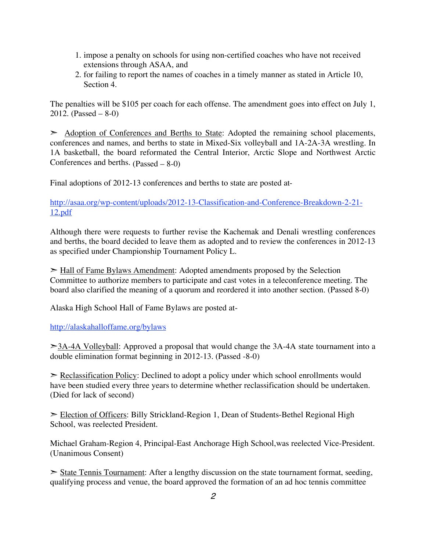- 1. impose a penalty on schools for using non-certified coaches who have not received extensions through ASAA, and
- 2. for failing to report the names of coaches in a timely manner as stated in Article 10, Section 4.

The penalties will be \$105 per coach for each offense. The amendment goes into effect on July 1, 2012. (Passed – 8-0)

 $\geq$  Adoption of Conferences and Berths to State: Adopted the remaining school placements, conferences and names, and berths to state in Mixed-Six volleyball and 1A-2A-3A wrestling. In 1A basketball, the board reformated the Central Interior, Arctic Slope and Northwest Arctic Conferences and berths. (Passed – 8-0)

Final adoptions of 2012-13 conferences and berths to state are posted at-

http://asaa.org/wp-content/uploads/2012-13-Classification-and-Conference-Breakdown-2-21- 12.pdf

Although there were requests to further revise the Kachemak and Denali wrestling conferences and berths, the board decided to leave them as adopted and to review the conferences in 2012-13 as specified under Championship Tournament Policy L.

► Hall of Fame Bylaws Amendment: Adopted amendments proposed by the Selection Committee to authorize members to participate and cast votes in a teleconference meeting. The board also clarified the meaning of a quorum and reordered it into another section. (Passed 8-0)

Alaska High School Hall of Fame Bylaws are posted at-

http://alaskahalloffame.org/bylaws

 $\geq 3A-4A$  Volleyball: Approved a proposal that would change the 3A-4A state tournament into a double elimination format beginning in 2012-13. (Passed -8-0)

 $\geq$  Reclassification Policy: Declined to adopt a policy under which school enrollments would have been studied every three years to determine whether reclassification should be undertaken. (Died for lack of second)

➣ Election of Officers: Billy Strickland-Region 1, Dean of Students-Bethel Regional High School, was reelected President.

Michael Graham-Region 4, Principal-East Anchorage High School,was reelected Vice-President. (Unanimous Consent)

State Tennis Tournament: After a lengthy discussion on the state tournament format, seeding, qualifying process and venue, the board approved the formation of an ad hoc tennis committee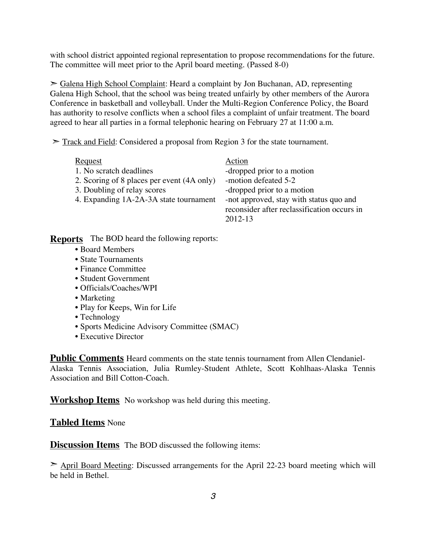with school district appointed regional representation to propose recommendations for the future. The committee will meet prior to the April board meeting. (Passed 8-0)

➣ Galena High School Complaint: Heard a complaint by Jon Buchanan, AD, representing Galena High School, that the school was being treated unfairly by other members of the Aurora Conference in basketball and volleyball. Under the Multi-Region Conference Policy, the Board has authority to resolve conflicts when a school files a complaint of unfair treatment. The board agreed to hear all parties in a formal telephonic hearing on February 27 at 11:00 a.m.

 $\geq$  Track and Field: Considered a proposal from Region 3 for the state tournament.

| <b>Request</b>                             | Action                                                                                            |
|--------------------------------------------|---------------------------------------------------------------------------------------------------|
| 1. No scratch deadlines                    | -dropped prior to a motion                                                                        |
| 2. Scoring of 8 places per event (4A only) | -motion defeated 5-2                                                                              |
| 3. Doubling of relay scores                | -dropped prior to a motion                                                                        |
| 4. Expanding 1A-2A-3A state tournament     | -not approved, stay with status quo and<br>reconsider after reclassification occurs in<br>2012-13 |
| $TL2$ DOD leased the following negative    |                                                                                                   |

**Reports** The BOD heard the following reports:

- Board Members
- State Tournaments
- Finance Committee
- Student Government
- Officials/Coaches/WPI
- Marketing
- Play for Keeps, Win for Life
- Technology
- Sports Medicine Advisory Committee (SMAC)
- Executive Director

**Public Comments** Heard comments on the state tennis tournament from Allen Clendaniel-Alaska Tennis Association, Julia Rumley-Student Athlete, Scott Kohlhaas-Alaska Tennis Association and Bill Cotton-Coach.

**Workshop Items** No workshop was held during this meeting.

#### **Tabled Items** None

**Discussion Items** The BOD discussed the following items:

➣ April Board Meeting: Discussed arrangements for the April 22-23 board meeting which will be held in Bethel.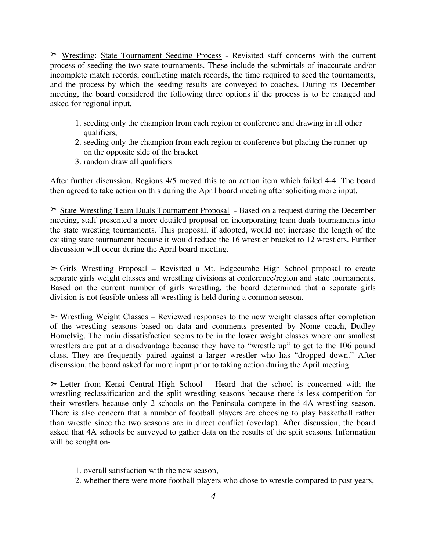**EXA** Wrestling: State Tournament Seeding Process - Revisited staff concerns with the current process of seeding the two state tournaments. These include the submittals of inaccurate and/or incomplete match records, conflicting match records, the time required to seed the tournaments, and the process by which the seeding results are conveyed to coaches. During its December meeting, the board considered the following three options if the process is to be changed and asked for regional input.

- 1. seeding only the champion from each region or conference and drawing in all other qualifiers,
- 2. seeding only the champion from each region or conference but placing the runner-up on the opposite side of the bracket
- 3. random draw all qualifiers

After further discussion, Regions 4/5 moved this to an action item which failed 4-4. The board then agreed to take action on this during the April board meeting after soliciting more input.

➣ State Wrestling Team Duals Tournament Proposal - Based on a request during the December meeting, staff presented a more detailed proposal on incorporating team duals tournaments into the state wresting tournaments. This proposal, if adopted, would not increase the length of the existing state tournament because it would reduce the 16 wrestler bracket to 12 wrestlers. Further discussion will occur during the April board meeting.

➣ Girls Wrestling Proposal – Revisited a Mt. Edgecumbe High School proposal to create separate girls weight classes and wrestling divisions at conference/region and state tournaments. Based on the current number of girls wrestling, the board determined that a separate girls division is not feasible unless all wrestling is held during a common season.

 $\triangleright$  Wrestling Weight Classes – Reviewed responses to the new weight classes after completion of the wrestling seasons based on data and comments presented by Nome coach, Dudley Homelvig. The main dissatisfaction seems to be in the lower weight classes where our smallest wrestlers are put at a disadvantage because they have to "wrestle up" to get to the 106 pound class. They are frequently paired against a larger wrestler who has "dropped down." After discussion, the board asked for more input prior to taking action during the April meeting.

➣ Letter from Kenai Central High School – Heard that the school is concerned with the wrestling reclassification and the split wrestling seasons because there is less competition for their wrestlers because only 2 schools on the Peninsula compete in the 4A wrestling season. There is also concern that a number of football players are choosing to play basketball rather than wrestle since the two seasons are in direct conflict (overlap). After discussion, the board asked that 4A schools be surveyed to gather data on the results of the split seasons. Information will be sought on-

- 1. overall satisfaction with the new season,
- 2. whether there were more football players who chose to wrestle compared to past years,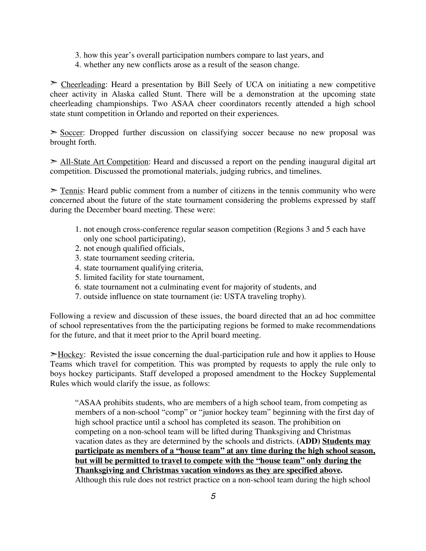- 3. how this year's overall participation numbers compare to last years, and
- 4. whether any new conflicts arose as a result of the season change.

 $\geq$  Cheerleading: Heard a presentation by Bill Seely of UCA on initiating a new competitive cheer activity in Alaska called Stunt. There will be a demonstration at the upcoming state cheerleading championships. Two ASAA cheer coordinators recently attended a high school state stunt competition in Orlando and reported on their experiences.

 $\geq$  Soccer: Dropped further discussion on classifying soccer because no new proposal was brought forth.

 $\ge$  All-State Art Competition: Heard and discussed a report on the pending inaugural digital art competition. Discussed the promotional materials, judging rubrics, and timelines.

 $\ge$  Tennis: Heard public comment from a number of citizens in the tennis community who were concerned about the future of the state tournament considering the problems expressed by staff during the December board meeting. These were:

- 1. not enough cross-conference regular season competition (Regions 3 and 5 each have only one school participating),
- 2. not enough qualified officials,
- 3. state tournament seeding criteria,
- 4. state tournament qualifying criteria,
- 5. limited facility for state tournament,
- 6. state tournament not a culminating event for majority of students, and
- 7. outside influence on state tournament (ie: USTA traveling trophy).

Following a review and discussion of these issues, the board directed that an ad hoc committee of school representatives from the the participating regions be formed to make recommendations for the future, and that it meet prior to the April board meeting.

➣Hockey: Revisted the issue concerning the dual-participation rule and how it applies to House Teams which travel for competition. This was prompted by requests to apply the rule only to boys hockey participants. Staff developed a proposed amendment to the Hockey Supplemental Rules which would clarify the issue, as follows:

"ASAA prohibits students, who are members of a high school team, from competing as members of a non-school "comp" or "junior hockey team" beginning with the first day of high school practice until a school has completed its season. The prohibition on competing on a non-school team will be lifted during Thanksgiving and Christmas vacation dates as they are determined by the schools and districts. **(ADD) Students may participate as members of a "house team" at any time during the high school season, but will be permitted to travel to compete with the "house team" only during the Thanksgiving and Christmas vacation windows as they are specified above.** Although this rule does not restrict practice on a non-school team during the high school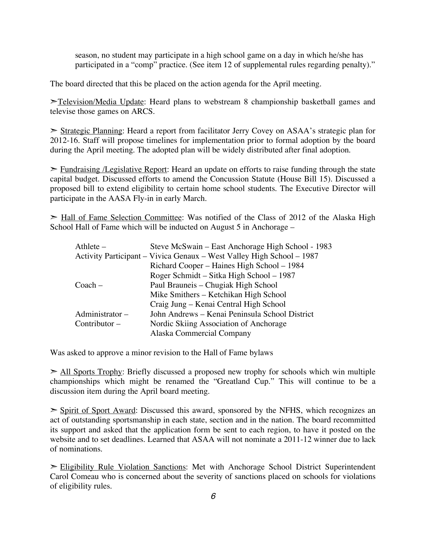season, no student may participate in a high school game on a day in which he/she has participated in a "comp" practice. (See item 12 of supplemental rules regarding penalty)."

The board directed that this be placed on the action agenda for the April meeting.

►Television/Media Update: Heard plans to webstream 8 championship basketball games and televise those games on ARCS.

➣ Strategic Planning: Heard a report from facilitator Jerry Covey on ASAA's strategic plan for 2012-16. Staff will propose timelines for implementation prior to formal adoption by the board during the April meeting. The adopted plan will be widely distributed after final adoption.

 $\triangleright$  Fundraising */Legislative Report:* Heard an update on efforts to raise funding through the state capital budget. Discussed efforts to amend the Concussion Statute (House Bill 15). Discussed a proposed bill to extend eligibility to certain home school students. The Executive Director will participate in the AASA Fly-in in early March.

► Hall of Fame Selection Committee: Was notified of the Class of 2012 of the Alaska High School Hall of Fame which will be inducted on August 5 in Anchorage –

| Steve McSwain – East Anchorage High School - 1983                     |
|-----------------------------------------------------------------------|
| Activity Participant – Vivica Genaux – West Valley High School – 1987 |
| Richard Cooper – Haines High School – 1984                            |
| Roger Schmidt – Sitka High School – 1987                              |
| Paul Brauneis – Chugiak High School                                   |
| Mike Smithers - Ketchikan High School                                 |
| Craig Jung – Kenai Central High School                                |
| John Andrews – Kenai Peninsula School District                        |
| Nordic Skiing Association of Anchorage                                |
| Alaska Commercial Company                                             |
|                                                                       |

Was asked to approve a minor revision to the Hall of Fame bylaws

 $\ge$  All Sports Trophy: Briefly discussed a proposed new trophy for schools which win multiple championships which might be renamed the "Greatland Cup." This will continue to be a discussion item during the April board meeting.

 $\geq$  Spirit of Sport Award: Discussed this award, sponsored by the NFHS, which recognizes an act of outstanding sportsmanship in each state, section and in the nation. The board recommitted its support and asked that the application form be sent to each region, to have it posted on the website and to set deadlines. Learned that ASAA will not nominate a 2011-12 winner due to lack of nominations.

➣ Eligibility Rule Violation Sanctions: Met with Anchorage School District Superintendent Carol Comeau who is concerned about the severity of sanctions placed on schools for violations of eligibility rules.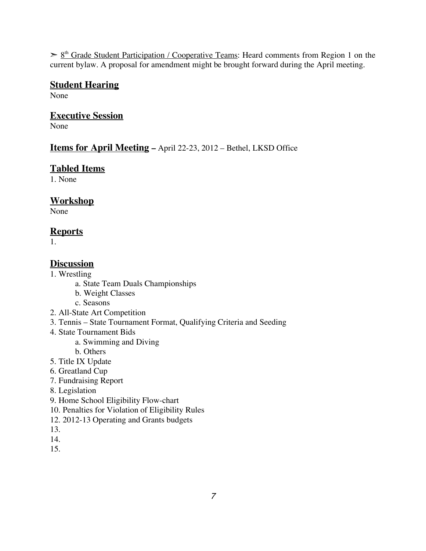$\geq \frac{8^{th}}{10^{th}}$  Grade Student Participation / Cooperative Teams: Heard comments from Region 1 on the current bylaw. A proposal for amendment might be brought forward during the April meeting.

#### **Student Hearing**

None

#### **Executive Session**

None

#### **Items for April Meeting –** April 22-23, 2012 – Bethel, LKSD Office

#### **Tabled Items**

1. None

#### **Workshop**

None

### **Reports**

1.

### **Discussion**

- 1. Wrestling
	- a. State Team Duals Championships
	- b. Weight Classes
	- c. Seasons
- 2. All-State Art Competition
- 3. Tennis State Tournament Format, Qualifying Criteria and Seeding
- 4. State Tournament Bids
	- a. Swimming and Diving
	- b. Others
- 5. Title IX Update
- 6. Greatland Cup
- 7. Fundraising Report
- 8. Legislation
- 9. Home School Eligibility Flow-chart
- 10. Penalties for Violation of Eligibility Rules
- 12. 2012-13 Operating and Grants budgets
- 13.
- 14.
- 15.